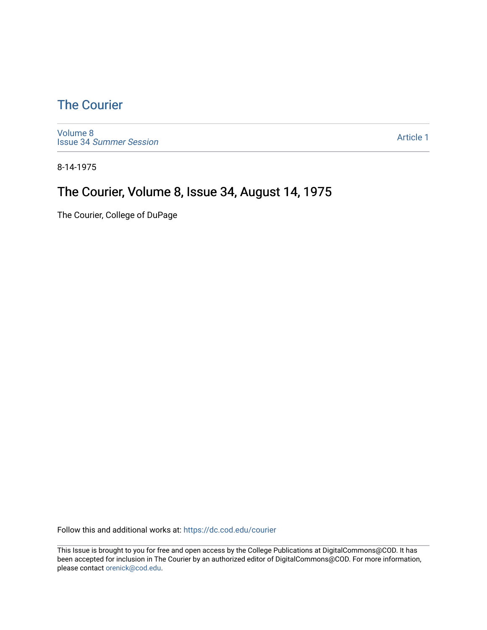## [The Courier](https://dc.cod.edu/courier)

[Volume 8](https://dc.cod.edu/courier/vol8) Issue 34 [Summer Session](https://dc.cod.edu/courier/vol8/iss34) 

[Article 1](https://dc.cod.edu/courier/vol8/iss34/1) 

8-14-1975

## The Courier, Volume 8, Issue 34, August 14, 1975

The Courier, College of DuPage

Follow this and additional works at: [https://dc.cod.edu/courier](https://dc.cod.edu/courier?utm_source=dc.cod.edu%2Fcourier%2Fvol8%2Fiss34%2F1&utm_medium=PDF&utm_campaign=PDFCoverPages)

This Issue is brought to you for free and open access by the College Publications at DigitalCommons@COD. It has been accepted for inclusion in The Courier by an authorized editor of DigitalCommons@COD. For more information, please contact [orenick@cod.edu.](mailto:orenick@cod.edu)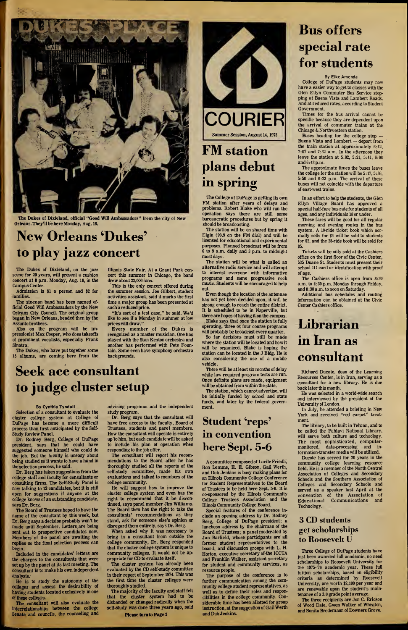

The Dukes of Dixieland, official "Good Will Ambassadors" from the city of New Orleans. They'll be here Monday, Aug. 18.

# New Orleans 'Dukes' to play jazz concert

The Dukes of Dixieland, on the jazz scene for 20 years, will present a cushion concert at 8 p.m. Monday, Aug. 18, in the Campus Center.

Admission is \$1 a person and \$2 for families.

The six-man band has been named official Good Will Ambassadors by the New Orleans City Council. The original group began in New Orleans, headed then by the Assunto brothers.

Also on the program will be im pressionist Max Cooper, Who doestakeoffs of prominent vocalists, especially Frank Sinatra.

The Dukes, who have put together some <sup>15</sup> albums, are coming here from the

Illinois State Fair. At a Grant Park concert this summer in Chicago, the band drew about 23,000 fans.

This is the only concert offered during the summer session. Joe Gilbert, student activities assistant, said it marks the first time a major group has been presented at such a reduced price.

"It's sort of a test case," he said. We'd like to see if a Monday in summer at low prices will draw."

Every member of the Dukes is recognized as a master musician. One has played with the Stan Kenton orchestra and another has performed with Pete Fountain. Some even have symphony orchestra backgrounds.



# plans debut in spring

The College of DuPage is getting its own FM station after years of delays and problems. Robert Blake who will run the operation says there are still some bureaucratic procedures but by spring it should be broadcasting.

The station will be on shared time with Elgin (90.9 on the FM dial) and will be licensed for educational and experimental purposes. Planned broadcast will be from 6 to 9 a.m. daily and 3 p.m. to midnight most days.

The station will be what is called an alternative radio service and will attempt to interest everyone with informative programs and some progressive rock music. Students will be encouraged to help out.

Even though the location of the antennae has not yet been decided upon, it will be strong enough to reach the entire district. It is scheduled to be in Naperville, but there are hopes of having it on the campus. Blake says that once the station is fully operating, three or four course programs

will probably be broadcast every quarter. So far decisions must still be made

where the station will be located and how it will be organized. Blake is hoping the station can be located in the J Bldg. He is also considering the use of a mobile vehicle.

There will be at least six months of delay while law required program tests are run. Once definite plans are made, equipment will be obtained from within the state.

The station, which cannot advertise, will be initially funded by school and state funds, and later by the federal government.

# Student 'reps' in convention here Sept. 5-6

A committee composed of Lucile Friedli, Ron Lemme, E. E. Gibson, Gail Werth, and Dub Jenkins is busy making plans for an Illinois Community College Conference for Student Representatives to the Board of Trustees to be held here Sept. 5-6. It is co-sponsored by the Illinois Community College Trustees Association and the Illinois Community College Board.

Special features of the conference include an opening address by Dr. Rodney Berg, College of DuPage president; a luncheon address by the chairman of the Board of Trustees; a panel moderated by Jan Barfield, whose participants are all former student representatives to the board, and discussion groups with L. H. Horton, executive secretary of-the ICCTA and Franklin Walker, assistant secretary for student and community services, as resource people.

The purpose of the conference is to further communication among the community college student representatives, as well as to define their roles and responsibilities in the college community. Considerable time has been allotted for group instruction, at the suggestion of Gail Werth and Dub Jenkins.

# Bus offers special rate for students

By Elke Amenda

College of DuPage students may now have a easier way to get to classes with the Glen Ellyn Commuter Bus Service stopping at Buena Vista and Lambert Roads. And at reduced rates, according to Student Government.

Times for the bus arrival cannot be specific because they are dependent upon the arrival of commuter trains at the Chicago & Northwestern station.

Buses heading for the college stop — Buena Vista and I.ambert — depart from the train station at approximately 6:42, 7:07 and 7:32 a.m. In die afternoon they leave the station at 5:02, 5:21, 5:41, 6:08 and 6:43p.m.

The approximate times the buses leave the college for the station will be 5:17,5:36, 5:56 and 6:23 p.m. The arrival of these buses will not coincide with the departure of east-west trains.

In an effort to help the students, the Glen Ellyn Village Board has approved a special half-fare bus rate for students of all ages, and any individuals 18 or under.

These fares will be good for all regular morning and evening routes in the bus system. A 10-ride ticket book which normally sells for \$4 will be sold to students for \$2, and the 25-ride book will be sold for \$5.

Tickets will be only sold at the Cashiers office on the first floor of the Civic Center, 535 Duane St. Students must present their school ID card or identification with proof of age.

The Cashiers office is open from 8:30 a.m. to 4:30 p.m. Monday through Friday, and 8:30 a.m. to noon on Saturday.

Additional bus schedules and routing information can be obtained at the Civic Center Cashiers office.

## Librarian in Iran as consultant

Richard Ducote, dean of the Learning Resources Center, is in Iran, serving as a consultant for a new library. He is due back later this month.

He was selected in a world-wide search and interviewed by the president of the University of London.

In July, he attended a briefing in New York and received "red carpet" treatment.

The library, to be built in Tehran, and to be called the Pahlavi National Library, will serve both culture and technology. The most sophisticated, computermonitored, data-processing and information-transfer media will be utilized.

Ducote has served for 20 years in the community college learning resource field. He is a member of the North Central Association of Colleges and Secondary Schools and the Southern Association of Colleges and Secondary Schools and served as a speaker last April at the convention of the Association of Educational Communications and Technology.

## 3 CD students get scholarships to Roosevelt U

Three College of DuPage students have just been awarded full academic, no need scholarships to Roosevelt University for the 1975-76 academic year. These full tuition scholarships, based on eligibility criteria as determined by Roosevelt University, are worth \$2,100 per year and are renewable upon the student's maintenance of a 3.0 grade point average.

The three recipients are Jon C. Ericson of Wood Dale, Gwen Walker of Wheaton, and Bonita Bredemann of Downers Grove.

## Seek ace consultant to judge cluster setup

#### By Cynthia Tyndall

Selection of a consultant to evaluate the cluster college system at College of DuPage has become a more difficult process than first anticipated by the Self-Study Review Panel.

Dr. Rodney Berg, College of DuPage president, says that he could have suggested someone himself who could do the job. But the faculty is uneasy about being studied so it wants to have a hand in the selection process, he said.

Dr. Berg has taken suggestions from the college staff and faculty for consultants or consulting firms. The Self-Study Panel is now talking to 12 candidates, but it is still open for suggestions if anyone at the college knows of an outstanding candidate, says Dr. Berg.

The Board of Trustees hoped to have the name of the consultant by this week, but Dr. Berg says a decision probably won't be made until September. Letters,are being ent out to prospective candidates now. Members of the panel are awaiting the replies so the final selection process can begin.

Included in the candidates' letters are the charges to the consultants that were set up by the panel at its last meeting. The consultant is to make his own independent analysis.

He is to study the autonomy of the colleges and assess the desirability of having students located exclusively in one of these colleges.

The consultant will also evaluate the interrelationships between the college Senate and councils, the counseling and advising programs and the independent study program.

Dr. Berg says that the consultant will have free access to the faculty, Board of Trustees, students and panel members. How the consultant will operate is entirely up 'to him, but each candidate will be asked to include his plan of operation when responding to the job offer.

The consultant will report his recommendations to the Board after he has thoroughly studied all the reports of the self-study committee, made his own evaluations and talked to members of the college community.

He will suggest how to improve the cluster college system and even has the right to recommend that it be discontinued, says panel member Jim Williams. The Board then has the right to take the consultants' recommendations as they stand, ask for someone else's opinion or disregard them entirely, says Dr. Berg.

When asked why it was necessary to bring in a consultant from outside the college community, Dr. Berg responded that the cluster college system is unique to community colleges. It would not be appropriate for CD to evaluate itself.

The cluster system has already been evaluated by the CD self-study committee in their report of September 1974. This was the first time the cluster colleges were thoroughly studied.

The majority of the faculty and staff felt that the cluster system had to be disbanded or changed radically when the self-study was done three years ago, said

Please turn to Page 2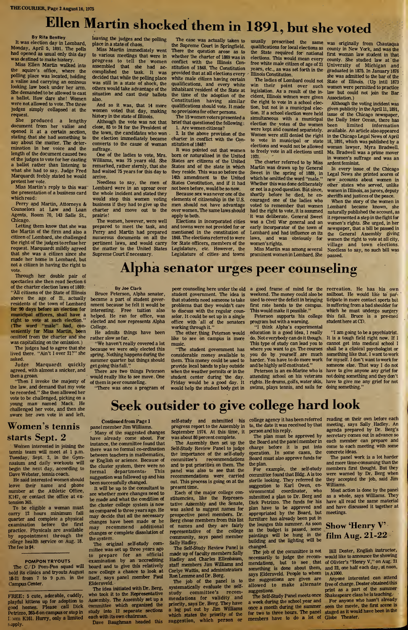# Ellen Martin shocked them in 1891, but she voted

#### By Rita Bentley

It was election day in Lombard, Monday, April 5, 1891. The polls had opened as usual only this day was destined to make history.

Miss Ellen Martin walked into the squire's office, where the polling place was located, holding valise and carrying an ominous looking law book under her arm. She demanded to be allowed to cast a ballot. How dare she! Women were not allowed to vote. The three judges simply collapsed at the request.

She produced a lengthy document from her valise and opened it at a certain section, stating that she had something to say about the matter. The determination in her voice and the length of the document caused two of the judges to vote for her casting a ballot rather than listening to what she had to say. Judge Fred Marquardt feebly stated he would protest her vote.

Miss Martin's reply to this was the presentation of a business card which read:

Perry and Martin, Attorneys & Counselors at Law and Loan Agents, Room 70, 143 Salle St., Chicago.

Letting them know that she was the Martin of the firm and also a citizen of Lombard, she challenged the right of the judges to refuse her request. Marquardt mildly agreed that she was a citizen since she made her home in Lombard, but not a citizen in having the right to vote.

Through her double pair of spectacles she then read Section 6 of the charter election laws of 1869: "All citizens of the State of Illinois above the age of 21, actually residents of the town of Lombard for 90 days before an election for municipal officers, shall have a right to vote at such election." (The word "male" had, conveniently for Miss Martin, been omitted from the charter and she was capitalizing on the omission.)

The judges had to agree that she lived there. "Ain't I over 21?" she asked.<br>Judge

Marquardt quickly agreed, with almost a snicker, and then a groan.

"Then I invoke the majesty of the law, and demand that my vote be recorded." She then allowed her vote to be challenged, picking on a young man named Mack. He challenged her vote, and then she swore her own vote in and left,

## Women's tennis starts Sept. 2

Women interested in joining the tennis team will meet at <sup>1</sup> p.m. Tuesday, Sept. 2, in the Gym nasium and daily workouts will begin the next day, according to Dave Webster, tennis coach.

He said interested women should leave their name and phone number at the Athletic Office, K147, or contact the office at extension 365.

To be eligible a woman must carry <sup>12</sup> hours minimum fall quarter and complete a physical<br>examination before the first examination before the practice. Physicals are available by appointment through the ollege health service on Aug. 18. The fee is \$4.

#### POMPON TRYOUTS

The C/'D Pom-Pon squad will hold its clinics and tryouts August 18-21 from 7 to 9 p.m. in the Campus Center.

FREE: 5 cute, adorable, cuddly, playful kittens up for adoption to good homes. Please call Dick Petrizzo, 265-6 on campus orstop in I jom K161. Hurry, only a limited supply.

leaving the judges and the polling place in a state of chaos.

Miss Martin immediately went to various meetings that were in progress to tell the women assembled that she had accomplished the task. It was decided that while the polling place was still in a state of shock, the others would take advantage of the situation and cast their ballots also.

And so it was, that 14 more women voted that day, making history in the state of Illinois.

Although the vote was not that close, 85 to 24 for the President of the town, the candidates who won the election immediately became converts to the cause of woman suffrage.

One of the ladies to vote, Mrs. Williams, was 75 years old. She remarked, rather sternly, that she had waited 75 years for this day to arrive.

Needless to say, the men of Lombard were in an uproar over the whole incident and stated they would stop this women voting business if they had to give up the charter and move out to the prairie!

The women, however, were well prepared to meet the task, and Perry and Martin had prepared numerous documents on all the pertinent laws, and would carry the matter to the United States Supreme Court if necessary.

The case was actually taken to the Supreme Court in Springfield. There the question arose as to whether the charter of 1869 was in conflict with the Illinois Constitution of 1848. The Constitution provided that at all elections every white male citizen having certain qualifications, and every white inhabitant resident of the State at the time of the adoption of the Constitution having similar qualifications should vote. It made no provisions for other persons.

The 15 women voters presented a brief that questioned the following: 1. Are women citizens?

2. Is the above provision of the charter in conflict with the Con stitution of 1848?

It was pointed out that women bom or naturalized in the United States are citizens of the United States and of the state in which they reside. This was so before the 14th amendment to the United States Constitution, and if it had not been before, would be so now.

Because sex was never one of the elements of citizenship in the U.S. men should not have advantage over women. The same laws should apply to both.

Elections in incorporated cities and towns were not provided for or mentioned in the constitution of 1848. The elections referred to were for State officers, members of the Legislature, etc. However, the Legislature of cities- and towns

usually prescribed the same the State required for national elections. This would mean every free white male citizen of age of 21 years, etc., as was set forth in the Illinois Constitution.

The ladies of Lombard could not win their point over such legislation. As a result of the incident, Illinois women were given the right to vote in a school election, but not in a municipal election. If a school election were held simultaneous with a municipal election the votes of the women were kept and counted separately. Women were still denied the right to vote in municipal or state elections and would not be allowed to freely vote in all elections until 1921.

The charter referred to by Miss Martin was drawn up by General Sweet in the spring of 1889, in which he omitted the word "male." Whether this was done deliberately or not is a good question. But since, shortly before he died, he en couraged one of the ladies who voted to remember that women had the right to vote, it is assumed it was deliberate. General Sweet was a Civil War general and an early incorporator of the town of Lombard and had influence on its laws, and was obviously for women's rights.

Miss Martin was among several prominent women in Lombard. She

usually prescribed the same was originally from Chautaqua<br>qualifications for local elections as county in New York, and was the county in New York, and was the first woman law student in that county. She studied law at the University of Michigan and graduated in 1875. In January 1876 she was admitted to the bar of the State of Illinois. (Up intil 1873 women were permitted to practice law but could not join the Bar Association.)

Although the voting incident was given publicity in the April 11,1891, issue of the Chicago newspaper, the Daily Inter Ocean, there has<br>been limited information limited information available. An article also appeared in the Chicago Legal News of April 18, 1891, which was published by a woman lawyer, Myra Bradwell. Ms. Bradwell was a prime mover in women's suffrage and was an ardent feminist.

In every issue of the Chicago Legal News she printed scores of new accounts about women in other states who served, unlike women in Illinois, as jurors, deputy sheriffs and justices of the peace.

When the story of the women in Lombard became known, she naturally published the account, as it represented a step in the fight for women's rights. She urged, in her newspaper, that a bill be passed in the General Assembly giving women the right to vote at all city, village and town elections. Needless to say, no such bill was passed.

## Alpha senator urges peer counseling

#### By Joe Clark

Bruce Peterson, Alpha senator, became a part of student government because he felt it would be interesting. Free tuition also helped. He ran for office, was elected and now represents Alpha College.

He admits things have been rather slow so far.

"We haven't really covered a lot because we were only elected this spring. Nothing happens during the summer quarter but things should get going thisfall."

There are two things Peterson would really like to see move. One of them is peer counseling.

"There was once a program of

peer counseling here under the old student government. The idea is that students need someone to take problems that they wouldn't care to discuss with the regular counselor. It could be set up in a single office with 'all of the senators working through it."

The other thing Peterson would like to see on campus is more music.

"The student government has considerable money available to them. This money could be used to provide local bands to play outside when the weather permits or in the student center during the day. Friday would be a good day. It would help the student body get in

a good frame of mind for the recreation. He has his own weekend. The money could also be used to cover the deficit in bringing first rate bands to the campus. This would make it possible."

Peterson supports his college program but with a warning. "I think Alpha's experimental education is a good idea, I really do. Not everybody can do it though. This type of study can lead you to

harder. You have to do more work and be highly self-motivated." Peterson is an ex-Marine who is attending school on his veterans rights. He drums, golfs, water skis,

where you want to go. The courses you do by yourself are much

sailboat. He would like to participate in more contact sports but is suffering from a bad shoulder for which he must undergo surgery this fall. Bruce is a pre-med student here at CD.

swims, plays tennis, and sails for doing something." "I am going to be a psychiatrist. It is a tough field right now. If I cannot get into medical school I shall be a clinical psychologist or something like that. I want to work for myself. I don't want to work for someone else. That way I do not have to give anyone any grief for not doing something and they don't have to give me any grief for not

# Seek outsider to give college hard look

Continued fromPage <sup>1</sup>

panel member Jim Williams. Many of the suggested changes have already come about. For instance, the committee found that there was no formal co-ordination between teachers in mathematics, or English or science. Because of the cluster system, there were no<br>formal departments. This  $formal$  departments. suggestion was followed up and has been successfully changed.

It will be up to the consultant to see whether more changes need to be made and what the condition of the cluster college system is now as compared to three years ago. He may decide that all the necessary changes have been made or he may recommend additional changes or complete dissolution of the system.

The original self-study committee was set up three years ago to prepare for an official examination by an accrediting board and to give this relatively new college a chance to look at itself, says panel member Paul Eldersveld.

The idea initiated with Dr. Berg, who took it to the Representative Assembly. The Assembly set up a committee which organized the study into 12 separate sections each with its own chairman.

Dave Baughman headed this

progress report to the Assembly in September 1974. At this time, it was about 80 percent complete.

The Assembly then set up the Self-Study Review Panel to judge the importance of the self-study committee's recommendations and to put priorities on them. The panel was also to see that the recommendations were carried out. This process is going on at the present time.

Each of the major college constituencies, like the Representative Assembly and the Senate, was asked to suggest names for prospective panel members. Dr. Berg chose members from this list of names and they are fairly representative community, says panel member Sally Hadley.

The Self-Study Review Panel is made up of faculty members Sally Hadley and Charles Ellenbaum, staff members Jim Williams and Carlye Wattis, and administrators Ron Lemme and Dr. Berg.

The job of the panel is to systematically evaluate the self-<br>study committee's recomstudy committee's mendations for validity and priority, says Dr. Berg. They have a log put out by Jim Williams which states the priority of the suggestion, which person or

self-study and submitted his college agency it has been referred reading on their own before each to, the date it was received by that person and hisreply.

The plan must be approved by the Board and the panel member in charge before it is put into operation. In some cases, the Board must also approve funds for the plan.

For example, the self-study committee found that Bldg. A is too sterile looking. They referred the suggestion to Karl Owen, en-<br>vironmental coordinator, who vironmental coordinator, submitted a plan to Dr. Berg and Dick Petrizzo. The funds for his plan have to be approved and appropriated by the Board, but furniture has already been put in the lounges this summer. As soon as the budget is passed, some paintings will be hung in the building and the lighting will be changed.

The job of the committee is not necessarily to judge the recommendations, but to see that something is done about them, says Eldersveld. People to whom the suggestions are given are allowed to make alternate suggestions.

The Self-Study Panel meets once a week during the school year and once a month during the summer for two to three hours. The panel members have to do a lot of Globe Theater.

meeting, says Sally Hadley. An agenda prepared by Dr. Berg's secretary comes out in advance so each member can prepare and come to each meeting with some concrete ideas.

The panel work is a lot harder and more time-consuming than the members first thought. But they were warned by Dr. Berg when they accepted the job, said Jim Williams.

Most action is done by the panel as a whole, says Williams. They have qll read the same material and have discussed it together at meetings.

## Show 'Henry V'. film Aug. 21-22

Bill Doster, English instructor, would like to announce the showing of Olivier's "Henry V," on Aug. 21 and 22, one half each day, at noon, in A1000.

Anyone interested can attend free of charge. Doster obtained this print as a part of the summer Shakespeare class he is teaching.

For anyone who hasn't already seen the movie, the first scene is staged as it would have been in the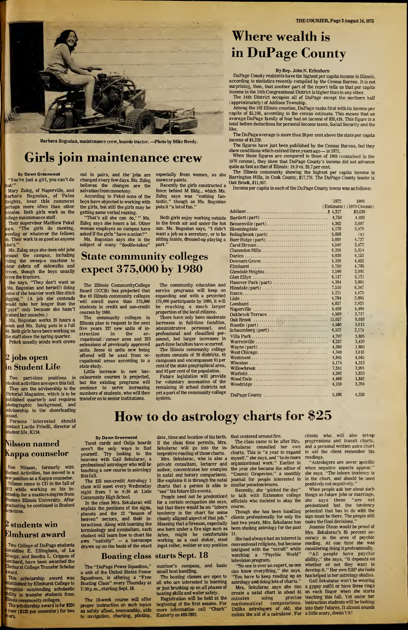

Barbara Bogosian, maintenance crew, boards tractor. —Photo by Mike Reedy.

## Girls join maintenance crew

By Dawn Greenwood You're just a girl, you can't do hat!"

Mary Zuleg, of Naperville, and Barbara Bogosian, of Palos leights, hear this comment erhaps more often than other emales. Both girls work on the ollege maintenance staff.

Their supervisor Matthew Pekel ays, "The girls do mowing, weeding or whatever the fellows lo. Their work is as good as anyone ilse's."

Ms. Zuleg says she does odd jobs around the campus, including iding the sweep-a machine to clear debris off sidewalks and drives, though the boys usually rive the tractors.

She says, "They don't want us Ms. Bogosian and herself) doing some of the heavier work like ditch digging." (A job she contends would take her longer than the guys" only because she hasn't rained her muscles.)

Ms. Bogosian works 20 hours a eek and Ms. Zuleg puts in a full 40. Both girls have been working on the staff since the spring quarter. Pekek usually sends work crews

### 2 jobs open in Student Life

Two part-time positions in student activities are open thisfall. They are the advisership to the Pictorial Magazine, which is to be published quarterly and requires ohotographic background, and advisership to the cheerleading squad.

Persons interested should contact Lucile Friedli, director of student life, K134.

## Vilsson named Kappa counselor

Ron Nilsson, formerly with tudent Activities, has moved to a ew position as a Kappa counselor. Nilsson came to CD in the fall of <sup>972</sup> while working on his in ernship for a masters degree from Vestern Illinois University. After raduating he continued in Student Activities.

### <sup>2</sup> students win Elmhurst award

Two College of DuPage students eraldine E. Ellingham, of La Grange, and Sandra L. Crippen of Lombard, have been awarded the Imhurst College Transfer Scholar ward.

This scholarship award was tablished by Elmhurst College to cognize outstanding scholastic Jility in transfer students from linois community colleges.

The scholarship award is for \$250 year (\$125 per semester) for two ears.

out in pairs, and the jobs are changed every few days. Ms. Zuleg believes the changes are the salvation from monotony.

According to Pekel none of the boys have objected to working with the girls, but still the girls may be getting some verbal razzing.

"That's all she can do,' " Ms. Zuleg says she hears a lot. Other women employes on campus have asked if the girls "have a union?" Ms. Bogosian says she is the

subject of many "double-takes"

The Illinois CommunityCollege Board (ICCB) has projected that the 49 Illinois community colleges will enroll more than 375,000 students in credit and non-credit

The community colleges in Illinois plan to request in the next five years 327 new units of instruction in the ocstruction in the oc-<br>cupational / career area and 233 extensions of previously approved units. Some 45 units new being offered will be axed from occupational areas according to a

Little increase in new baccalaureate courses is projected, but the existing programs will continue to serve increasing numbers of students, who will then transfer on to senior institutions.

courses by 1980.

state study.

State community colleges

expect 375,000 by 1980

especially from women, as she mows or paints.

Recently the girls constructed a fence behind M Bldg., which Ms. Zuleg says was "nothing fan tastic," though as Ms. Bogosian puts it "a lot of fun."

Both girls enjoy working outside in the fresh air and under the hot sun. Ms. Bogosian says, "I didn't want a job as a secretary, or to be sitting inside, dressed-up playing a part."

The community education and service programs will keep on expanding and with a projected 170,000 participants by 1980, it will be reaching a much larger proportion of the local citizens. There have only been moderate increases in full-time faculties, administrative personnel, and professional and classified personnel, but larger increases in part-time faculties have occurred. The Illinois community college system consists of 39 districts, 49 campuses and encompasses 91 per cent of the state geographical area, and 93 per cent of the population. Future legislation will provide for voluntary annexation of the remaining 50 school districts not yet a part of the community college

# Where wealth is in DuPage County

#### By Rep. John N. Erlenborn

| <b>Where wealth is</b>                                                                                                                                                                                                           |                |                                                                      |
|----------------------------------------------------------------------------------------------------------------------------------------------------------------------------------------------------------------------------------|----------------|----------------------------------------------------------------------|
|                                                                                                                                                                                                                                  |                |                                                                      |
| in DuPage County                                                                                                                                                                                                                 |                |                                                                      |
| By Rep. John N. Erlenborn                                                                                                                                                                                                        |                |                                                                      |
| DuPage County residents have the highest per capita income in Illinois<br>according to statistics recently compiled by the Census Bureau. It is no<br>surprising, then, that another part of the report tells us that per capita |                |                                                                      |
| income in the 14th Congressional District is higher than in any other.<br>The 14th District occupies all of DuPage except the northern hal                                                                                       |                |                                                                      |
| (approximately) of Addison Township.<br>Among the 102 Illinois counties, DuPage ranks first with its income per                                                                                                                  |                |                                                                      |
| capita of \$5,106, according to the census estimate. This means that a<br>average DuPage family of four had an income of \$20,424. This figure is a                                                                              |                |                                                                      |
| otal before deductions for personal income taxes, Social Security and the<br>ike.                                                                                                                                                |                |                                                                      |
| The DuPage average is more than 20 per cent above the state per capital<br>ncome of \$4,229.                                                                                                                                     |                |                                                                      |
| The figures have just been published by the Census Bureau, but they<br>show conditions which existed three years ago - in 1972.                                                                                                  |                |                                                                      |
| When these figures are compared to those of 1969 (contained in the<br>1970 census), they show that DuPage County's income did not advance                                                                                        |                |                                                                      |
| quite as fast as that of Illinois: 19.9 vs. 20.7 per cent.<br>The Illinois community showing the highest per capita income is                                                                                                    |                |                                                                      |
| Barrington Hills, in Cook County, \$17,776. The DuPage County leader is<br>Dak Brook, \$11,057.                                                                                                                                  |                |                                                                      |
| Income per capita in each of the DuPage County towns was as follows:                                                                                                                                                             |                |                                                                      |
|                                                                                                                                                                                                                                  | 1972           | 1969<br>$(Estimate)$ (1970 Census)                                   |
|                                                                                                                                                                                                                                  |                | \$3,630                                                              |
|                                                                                                                                                                                                                                  | 4,750          | 4,026                                                                |
| Bensenville (part)<br>Bloomingdale                                                                                                                                                                                               | 4,362<br>4,178 | 3,697<br>3,479                                                       |
| Bolingbrook (part)                                                                                                                                                                                                               | $-5,058$       | (s)                                                                  |
|                                                                                                                                                                                                                                  | 5,609          | 4,727                                                                |
|                                                                                                                                                                                                                                  | 4,540          | 3,472                                                                |
|                                                                                                                                                                                                                                  | 6,316          | 5,314                                                                |
|                                                                                                                                                                                                                                  | 4,930<br>5,339 | 4,153<br>4,452                                                       |
|                                                                                                                                                                                                                                  | 5,750          | 4,705                                                                |
| Glendale Heights                                                                                                                                                                                                                 | 3,590          | 2,992                                                                |
|                                                                                                                                                                                                                                  | 6,117          | 5,121                                                                |
| Hanover Park (part)                                                                                                                                                                                                              | 4.384<br>7,510 | 3,001<br>6,347                                                       |
| Hinsdale (part) $\ldots \ldots \ldots \ldots \ldots \ldots \ldots \ldots$                                                                                                                                                        | 5,221          | 4,475                                                                |
|                                                                                                                                                                                                                                  | 4,784          | 3,895                                                                |
|                                                                                                                                                                                                                                  | 4,857          | 3,923                                                                |
|                                                                                                                                                                                                                                  | 5,468<br>4,569 | 4,404<br>3,717                                                       |
| Oakbrook Terrace                                                                                                                                                                                                                 | 11,057         | 9,010                                                                |
|                                                                                                                                                                                                                                  | 4,580          | $3,613$ .                                                            |
| Schaumburg (part)                                                                                                                                                                                                                | 4,103          | 3,174                                                                |
|                                                                                                                                                                                                                                  | 4.707          | 3,805                                                                |
|                                                                                                                                                                                                                                  | 4,237<br>4,384 | 3,420<br>3,860                                                       |
|                                                                                                                                                                                                                                  | 4,349          | 3,616                                                                |
|                                                                                                                                                                                                                                  | 4,845          | 4,045                                                                |
|                                                                                                                                                                                                                                  | 5,174          | 4,312                                                                |
|                                                                                                                                                                                                                                  | 7,241<br>4,592 | 3,991<br>3,833                                                       |
|                                                                                                                                                                                                                                  | 4,468          | 3,842                                                                |
|                                                                                                                                                                                                                                  | 4,159          | 3,394                                                                |
|                                                                                                                                                                                                                                  | 5,106          | 4,258                                                                |
|                                                                                                                                                                                                                                  |                |                                                                      |
| y charts for $\$25$                                                                                                                                                                                                              |                |                                                                      |
|                                                                                                                                                                                                                                  |                |                                                                      |
| clients<br>who<br>that centered around fire.                                                                                                                                                                                     | will           | also<br>set-up                                                       |
| The class came to be after Mrs.                                                                                                                                                                                                  |                | progressions and transit charts.                                     |
| Sekularac consulted her<br>own                                                                                                                                                                                                   |                | and a personal written astro chart<br>to aid the client remember his |
| charts. This is "a year to expand                                                                                                                                                                                                |                |                                                                      |

How to do astrology charts for \$25

#### By Dawn Greenwood

Tarot cards and Ouija boards aren't the only ways to find yourself. Try looking to the heavens with Gail Sekularac, a professional astrologer who will be teaching a new course in astrology thisfall.

The \$25 non-credit Astrology <sup>1</sup> class will meet every Wednesday night from <sup>7</sup> to 9:30 at Lisle Community High School.

In the class Mrs. Sekularac will explain the.positions of the signs, planets and the 12 "houses of heaven" sectors, and their interactions. Along with learning the terminology and symbolism, each student will learn how to chart his own "nativity" — a horoscope drawn up on the basis of the exact

The "DuPage Power Squadron," a unit of the United States Power Squadrons, is offering a "Free Boating Class" every Thursday at 7:30 p.m., starting Sept. 18.

The 12-week course will offer proper instruction on such topics as safety afloat, seamanship, aids to navigation, charting, piloting,

date, time and location of his birth. that centered around fire. If the class time permits, Mrs. Sekularac will go into the interpretive reading of those charts.

system.

Mrs. Sekularac, who is also a private consultant, lecturer and author, concentrates her energies in natal and horary comparisons. She explains it is through the natal charts that a person is able to "see" his future life events.

People need not be predestined for a certain occupation she says, but that there would be an "inborn tendency in the chart for some closely aligned aspect of that job." Meaning that a fireman, especially one bom under a fire sign such as Aries, might be comfortable working as a coal stoker, steel ingot roller, welder or any position

#### Boating class starts Sept. 18

mariner's compass, and basic small boat handling.

The boating classes are open to all who are interested in learning or just brushing up on all phases of boating skills and water safety.

Registration will be held at the beginning of the first session. For more information call "Chuck" Easterly on 469-7892.

The class came to be after Mrs. Sekularac consulted her own charts. This is "a year to expand myself," she says, and "to do more organizational work." Earlier in the year she became the editor of "Cosmic Grapevine," a monthly journal for people interested in similar pseudosciences.

Recently, she "picked the day" to talk with Extension college officials who decided to okay the course.

Though she has been handling clients professionally for only the last two years, Mrs. Sekularac has been studing astrology for the past 11.

conventional religions, but became intrigued with the "occult" while watching a "Psychic World" television program.

"No one is ever an expert, no one can know everything," she says. "You have to keep reading up on astrology and doing lots of charts."

Mrs. Sekularac says she can create a natal chart in about 45 minutes using precise mathematical computations. Unlike astrologers of old, she into their futures. It almost sounds enlists the aid of a calculator. For a little scary, doesn't it?

clients who will also set-up progressions and transit charts, and a personal written astro chart to aid the client remember his readings.

"Astrologers are never specific when negative aspects appear,' she says. "The inborn tendency is in the chart, and should be used positively not negatively.'

When people ask her about such things as future jobs or marriage, she says these "are not predestined but the tendency potential that has to do with the sign must be there. The people still make the final decisions."

She had always had an interest in curacy in the area of psychic Jeannie Dixon would be proud of Mrs. Sekularac's 85 percent ac reading. At one time she was considering doing it professionally. "All people have psychic ability," she says, "it depends on whether or not they want to develop it." Her own ESP she feels has helped in her astrology studies. Gail Sekularac won't be wearing a gypsy outfit or have three rings on each finger when she starts teaching this fall. Yet under her instruction students will be looking